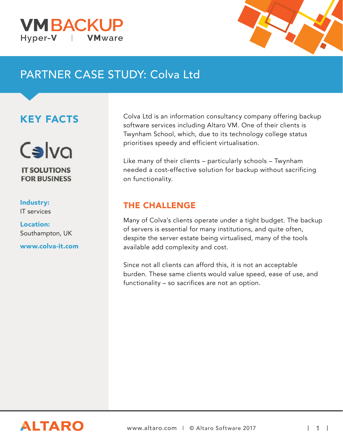



# PARTNER CASE STUDY: Colva Ltd

## KEY FACTS



## Industry:

IT services

Location: Southampton, UK

www.colva-it.com

Colva Ltd is an information consultancy company offering backup software services including Altaro VM. One of their clients is Twynham School, which, due to its technology college status prioritises speedy and efficient virtualisation.

Like many of their clients – particularly schools – Twynham needed a cost-effective solution for backup without sacrificing on functionality.

### THE CHALLENGE

Many of Colva's clients operate under a tight budget. The backup of servers is essential for many institutions, and quite often, despite the server estate being virtualised, many of the tools available add complexity and cost.

Since not all clients can afford this, it is not an acceptable burden. These same clients would value speed, ease of use, and functionality – so sacrifices are not an option.